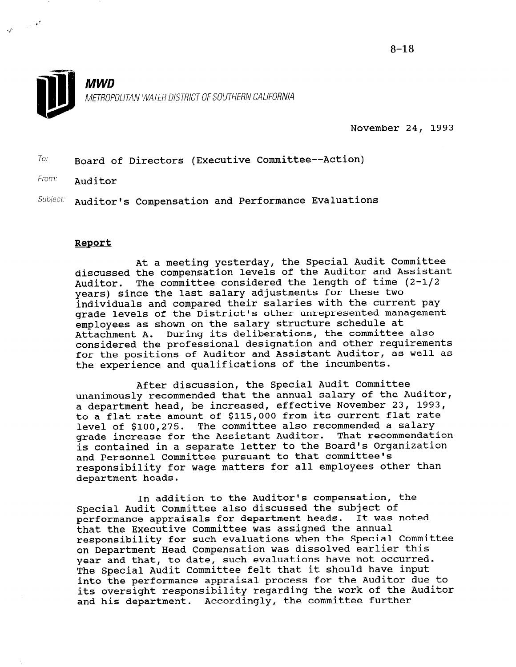

 $\label{eq:3.1} \frac{1}{\sqrt{2}}\sum_{i=1}^{N} \frac{1}{\sqrt{2\pi i}}\left(\frac{1}{\sqrt{2\pi}}\right)^{2\sqrt{2}}\frac{1}{\sqrt{2\pi}}\sum_{i=1}^{N}\frac{1}{\sqrt{2\pi}}\left(\frac{1}{\sqrt{2\pi}}\right)^{2\sqrt{2}}\frac{1}{\sqrt{2\pi}}\sum_{i=1}^{N}\frac{1}{\sqrt{2\pi}}\frac{1}{\sqrt{2\pi}}\frac{1}{\sqrt{2\pi}}\frac{1}{\sqrt{2\pi}}\frac{1}{\sqrt{2\pi}}\frac{1}{\sqrt{2\pi}}\frac{1$ 

November 24, 1993

 $T_{0}$ : Board of Directors (Executive Committee--Action)

From: **Auditor** 

 $Subject:$  Auditor's Compensation and Performance Evaluations

### Report

At a meeting yesterday, the Special Audit Committee discussed the compensation levels of the Auditor and Assistant Auditor. The committee considered the length of time (2-l/2 years) since the last salary adjustments for these two individuals and compared their salaries with the current pay grade levels of the District's other unrepresented management employees as shown on the salary structure schedule at Attachment A. During its deliberations, the committee also considered the professional designation and other requirements for the positions of Auditor and Assistant Auditor, as well as the experience and qualifications of the incumbents.

After discussion, the Special Audit Committee unanimously recommended that the annual salary of the Auditor, a department head, be increased, effective November 23, 1993, to a flat rate amount of \$115,000 from its current flat rate level of \$100,275. The committee also recommended a salary grade increase for the Assistant Auditor. That recommendation is contained in a separate letter to the Board's Organization and Personnel Committee pursuant to that committee's and refectively committee parbading to sharp committed by department heads.

In addition to the Auditor's compensation, the In audition to the Auditor B compensacien,<br>Consist Indit Committee also discussed the subject of performance appraisals for department heads. It was noted performance appraisals for department heads. It was noted<br>that the Executive Committee was assigned the annual responsibility for such evaluations when the Special Committee on Department Head Compensation was dissolved earlier this on Department head Compensation was dissolved earlier this<br>way and that, to date, such evaluations have not occurred year and that, to date, such evaluations have not occurred.<br>The Special Audit Committee felt that it should have input into the performance appraisal process for the Auditor due to its oversight responsibility regarding the work of the Auditor and his department. Accordingly, the committee further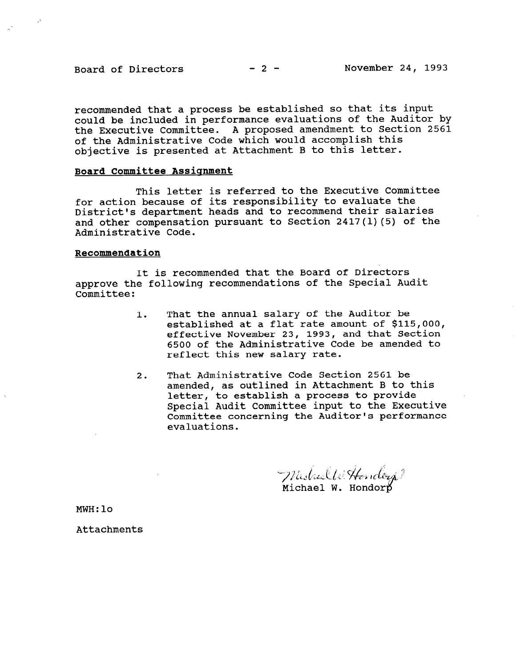recommended that a process be established so that its input could be included in performance evaluations of the Auditor by the Executive Committee. A proposed amendment to Section 2561 of the Administrative Code which would accomplish this objective is presented at Attachment B to this letter.

### Board Committee Assicmment

This letter is referred to the Executive Committee for action because of its responsibility to evaluate the District's department heads and to recommend their salaries and other compensation pursuant to Section  $2417(1)(5)$  of the Administrative Code.

#### Recommendation

It is recommended that the Board of Directors approve the following recommendations of the Special Audit Committee:

- 1. That the annual salary of the Auditor be established at a flat rate amount of \$115,000, effective November 23, 1993, and that Section 6500 of the Administrative Code be amended to reflect this new salary rate.
- 2. That Administrative Code Section 2561 be amended, as outlined in Attachment B to this letter, to establish a process to provide Special Audit Committee input to the Executive Committee concerning the Auditor's performance evaluations.

Mistral Wittondorp?

MWH:lo

Attachments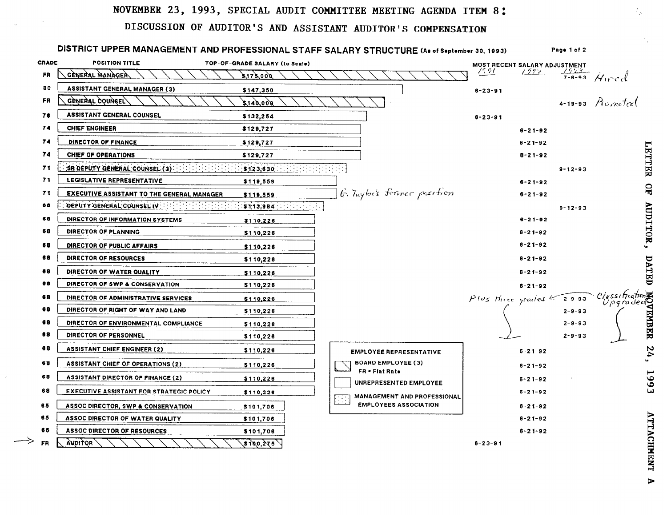### NOVEMBER 23, 1993, SPECIAL AUDIT COMMITTEE MEETING AGENDA ITEM 8:

# DISCUSSION OF AUDITOR'S AND ASSISTANT AUDITOR'S COMPENSATION

|              | DISTRICT UPPER MANAGEMENT AND PROFESSIONAL STAFF SALARY STRUCTURE (As of September 30, 1993)<br>Page 1 of 2 |                                |                                                             |                                  |               |                               |
|--------------|-------------------------------------------------------------------------------------------------------------|--------------------------------|-------------------------------------------------------------|----------------------------------|---------------|-------------------------------|
| <b>GRADE</b> | <b>POSITION TITLE</b>                                                                                       | TOP-OF-GRADE SALARY (to Scale) |                                                             | MOST RECENT SALARY ADJUSTMENT    |               |                               |
| FR           | GÈNERAL MANAGEA                                                                                             | 3,173,000                      |                                                             | 7991.<br>1992                    |               | $\frac{7553}{7-8-93}$ Hired   |
| 80           | <b>ASSISTANT GENERAL MANAGER (3)</b>                                                                        | \$147,350                      |                                                             | $8 - 23 - 91$                    |               |                               |
| <b>FR</b>    | GENEYAL COUNCEL                                                                                             | 600.0413                       |                                                             |                                  |               | 4-19-93 <i>Promotool</i>      |
| 76           | <b>ASSISTANT GENERAL COUNSEL</b>                                                                            | \$132,254                      |                                                             | $6 - 23 - 91$                    |               |                               |
| 74           | <b>CHIEF ENGINEER</b>                                                                                       | \$129,727                      |                                                             | $6 - 21 - 92$                    |               |                               |
| 74           | DIRECTOR OF FINANCE                                                                                         | \$129,727                      |                                                             | $6 - 21 - 92$                    |               |                               |
| 74           | CHIEF OF OPERATIONS                                                                                         | \$129,727                      |                                                             | $8 - 21 - 92$                    |               |                               |
| 71           | SR DEPUTY GENERAL COUNSEL (3)                                                                               | 5123,630                       |                                                             |                                  | $9 - 12 - 93$ | <b>LETTER</b>                 |
| 71           | LEGISLATIVE REPRESENTATIVE                                                                                  | \$119,559                      |                                                             | $6 - 21 - 92$                    |               |                               |
| 71           | <b>EXECUTIVE ASSISTANT TO THE GENERAL MANAGER</b>                                                           | \$119,559                      | G. Taylor's former position                                 | $6 - 21 - 92$                    |               | $\mathbf{B}$                  |
| 68           | DEPUTY GENERAL COUNSEL IV (1) 100 100 100 100 100 100                                                       | $15113,984$ ( $111111111111$   |                                                             |                                  | $9 - 12 - 93$ |                               |
| 68           | DIRECTOR OF INFORMATION SYSTEMS                                                                             | \$110,226                      |                                                             | $8 - 21 - 92$                    |               |                               |
| 68           | DIRECTOR OF PLANNING                                                                                        | \$110,226                      |                                                             | $8 - 21 - 92$                    |               | AUDITIOR                      |
| 68           | DIRECTOR OF PUBLIC AFFAIRS                                                                                  | \$110,226                      |                                                             | $6 - 21 - 92$                    |               |                               |
| 68           | DIRECTOR OF RESOURCES                                                                                       | \$110,228                      |                                                             | $6 - 21 - 92$                    |               |                               |
| 68           | DIRECTOR OF WATER QUALITY                                                                                   | \$110,226                      |                                                             | $6 - 21 - 92$                    |               | DATED                         |
| 68           | DIRECTOR OF SWP & CONSERVATION                                                                              | \$110,226                      |                                                             | $8 - 21 - 92$                    |               |                               |
| 68           | DIRECTOR OF ADMINISTRATIVE SERVICES                                                                         | \$110,226                      |                                                             | Plus three grades $\leq 2$ -9-93 |               | ciassificatione<br>Upgradecio |
| 68           | DIRECTOR OF RIGHT OF WAY AND LAND                                                                           | \$110,226                      |                                                             |                                  | $2 - 9 - 93$  |                               |
| 68           | DIRECTOR OF ENVIRONMENTAL COMPLIANCE                                                                        | \$110,226                      |                                                             |                                  | $2 - 9 - 93$  | <b>EMBER</b>                  |
| 88           | DIRECTOR OF PERSONNEL                                                                                       | \$110,226                      |                                                             |                                  | $2 - 9 - 93$  |                               |
| 68           | <b>ASSISTANT CHIEF ENGINEER (2)</b>                                                                         | \$110,226                      | <b>EMPLOYEE REPRESENTATIVE</b>                              | $6 - 21 - 92$                    |               | 24,                           |
| 68           | <b>ASSISTANT CHIEF OF OPERATIONS (2)</b>                                                                    | \$110,226                      | <b>BOARD EMPLOYEE (3)</b><br>FR = Flat Rate                 | $6 - 21 - 92$                    |               |                               |
| 68           | <b>ASSISTANT DIRECTOR OF FINANCE (2)</b>                                                                    | \$110,226                      | UNREPRESENTED EMPLOYEE                                      | $6 - 21 - 92$                    |               | 99                            |
| 68           | <b>EXECUTIVE ASSISTANT FOR STRATEGIC POLICY</b>                                                             | \$110,226                      | MANAGEMENT AND PROFESSIONAL                                 | $6 - 21 - 92$                    |               |                               |
| 65           | ASSOC DIRECTOR, SWP & CONSERVATION                                                                          | \$101,706                      | $\mathcal{L}_{\mathcal{A}}$<br><b>EMPLOYEES ASSOCIATION</b> | $8 - 21 - 92$                    |               |                               |
| 65           | ASSOC DIRECTOR OF WATER QUALITY                                                                             | \$101,706                      |                                                             | $6 - 21 - 92$                    |               |                               |
| 65           | <b>ASSOC DIRECTOR OF RESOURCES</b>                                                                          | \$101,706                      |                                                             | $8 - 21 - 92$                    |               |                               |
| FR           | <b>AUDITOR</b>                                                                                              | $\sqrt{3100,275}$              |                                                             | $8 - 23 - 91$                    |               | <b>ATTACHP</b>                |

TKENT  $\blacktriangleright$ 

 $\mathbb{Z}_2$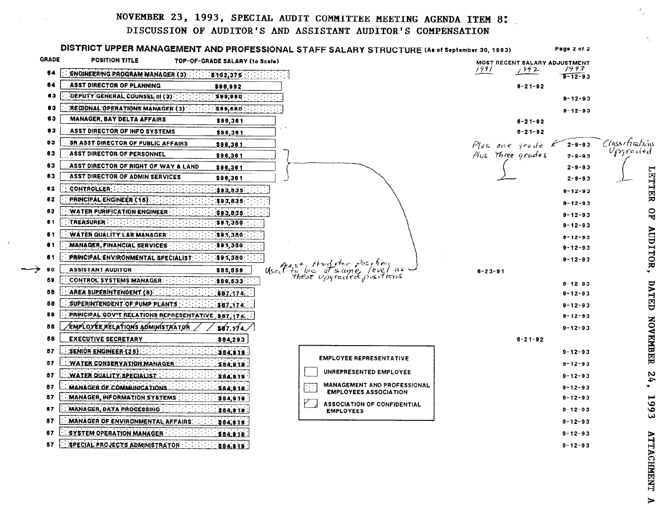## NOVEMBER 23, 1993, SPECIAL AUDIT COMMITTEE MEETING AGENDA ITEM 8:

### DISCUSSION OF AUDITOR'S AND ASSISTANT AUDITOR'S COMPENSATION